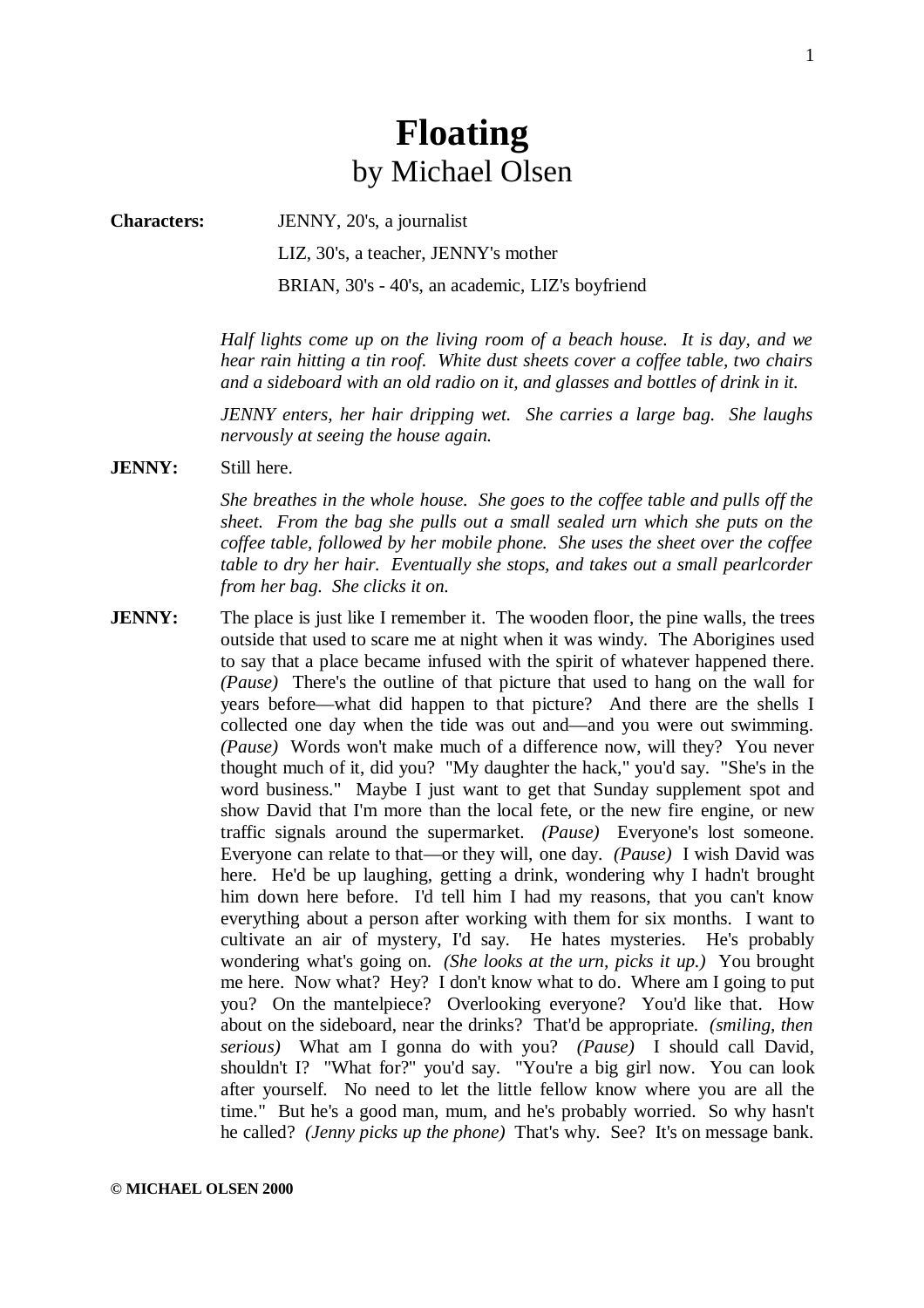# **Floating** by Michael Olsen

**Characters:** JENNY, 20's, a journalist LIZ, 30's, a teacher, JENNY's mother BRIAN, 30's - 40's, an academic, LIZ's boyfriend

> *Half lights come up on the living room of a beach house. It is day, and we hear rain hitting a tin roof. White dust sheets cover a coffee table, two chairs and a sideboard with an old radio on it, and glasses and bottles of drink in it.*

> *JENNY enters, her hair dripping wet. She carries a large bag. She laughs nervously at seeing the house again.*

**JENNY:** Still here.

*She breathes in the whole house. She goes to the coffee table and pulls off the sheet. From the bag she pulls out a small sealed urn which she puts on the coffee table, followed by her mobile phone. She uses the sheet over the coffee table to dry her hair. Eventually she stops, and takes out a small pearlcorder from her bag. She clicks it on.*

**JENNY:** The place is just like I remember it. The wooden floor, the pine walls, the trees outside that used to scare me at night when it was windy. The Aborigines used to say that a place became infused with the spirit of whatever happened there. *(Pause)* There's the outline of that picture that used to hang on the wall for years before—what did happen to that picture? And there are the shells I collected one day when the tide was out and—and you were out swimming. *(Pause)* Words won't make much of a difference now, will they? You never thought much of it, did you? "My daughter the hack," you'd say. "She's in the word business." Maybe I just want to get that Sunday supplement spot and show David that I'm more than the local fete, or the new fire engine, or new traffic signals around the supermarket. *(Pause)* Everyone's lost someone. Everyone can relate to that—or they will, one day. *(Pause)* I wish David was here. He'd be up laughing, getting a drink, wondering why I hadn't brought him down here before. I'd tell him I had my reasons, that you can't know everything about a person after working with them for six months. I want to cultivate an air of mystery, I'd say. He hates mysteries. He's probably wondering what's going on. *(She looks at the urn, picks it up.)* You brought me here. Now what? Hey? I don't know what to do. Where am I going to put you? On the mantelpiece? Overlooking everyone? You'd like that. How about on the sideboard, near the drinks? That'd be appropriate. *(smiling, then serious)* What am I gonna do with you? *(Pause)* I should call David, shouldn't I? "What for?" you'd say. "You're a big girl now. You can look after yourself. No need to let the little fellow know where you are all the time." But he's a good man, mum, and he's probably worried. So why hasn't he called? *(Jenny picks up the phone)* That's why. See? It's on message bank.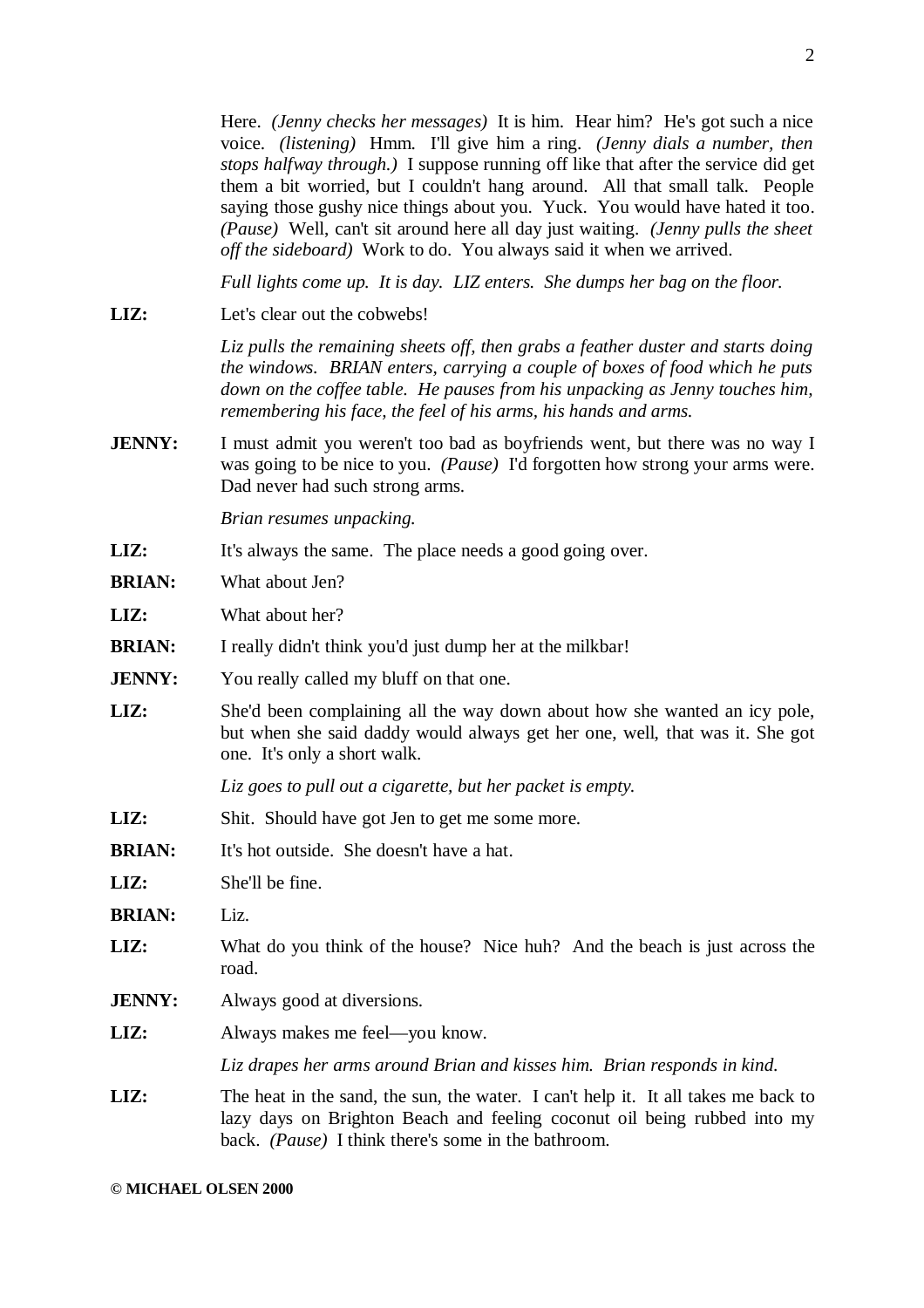Here. *(Jenny checks her messages)* It is him. Hear him? He's got such a nice voice. *(listening)* Hmm. I'll give him a ring. *(Jenny dials a number, then stops halfway through.)* I suppose running off like that after the service did get them a bit worried, but I couldn't hang around. All that small talk. People saying those gushy nice things about you. Yuck. You would have hated it too. *(Pause)* Well, can't sit around here all day just waiting. *(Jenny pulls the sheet off the sideboard)* Work to do. You always said it when we arrived.

*Full lights come up. It is day. LIZ enters. She dumps her bag on the floor.*

LIZ: Let's clear out the cobwebs!

*Liz pulls the remaining sheets off, then grabs a feather duster and starts doing the windows. BRIAN enters, carrying a couple of boxes of food which he puts down on the coffee table. He pauses from his unpacking as Jenny touches him, remembering his face, the feel of his arms, his hands and arms.*

**JENNY:** I must admit you weren't too bad as boyfriends went, but there was no way I was going to be nice to you. *(Pause)* I'd forgotten how strong your arms were. Dad never had such strong arms.

*Brian resumes unpacking.*

**LIZ:** It's always the same. The place needs a good going over.

**BRIAN:** What about Jen?

**LIZ:** What about her?

- **BRIAN:** I really didn't think you'd just dump her at the milkbar!
- **JENNY:** You really called my bluff on that one.
- **LIZ:** She'd been complaining all the way down about how she wanted an icy pole, but when she said daddy would always get her one, well, that was it. She got one. It's only a short walk.

*Liz goes to pull out a cigarette, but her packet is empty.*

- LIZ: Shit. Should have got Jen to get me some more.
- **BRIAN:** It's hot outside. She doesn't have a hat.

**LIZ:** She'll be fine.

- **BRIAN:** Liz.
- **LIZ:** What do you think of the house? Nice huh? And the beach is just across the road.
- **JENNY:** Always good at diversions.
- LIZ: Always makes me feel—you know.

*Liz drapes her arms around Brian and kisses him. Brian responds in kind.*

LIZ: The heat in the sand, the sun, the water. I can't help it. It all takes me back to lazy days on Brighton Beach and feeling coconut oil being rubbed into my back. *(Pause)* I think there's some in the bathroom.

2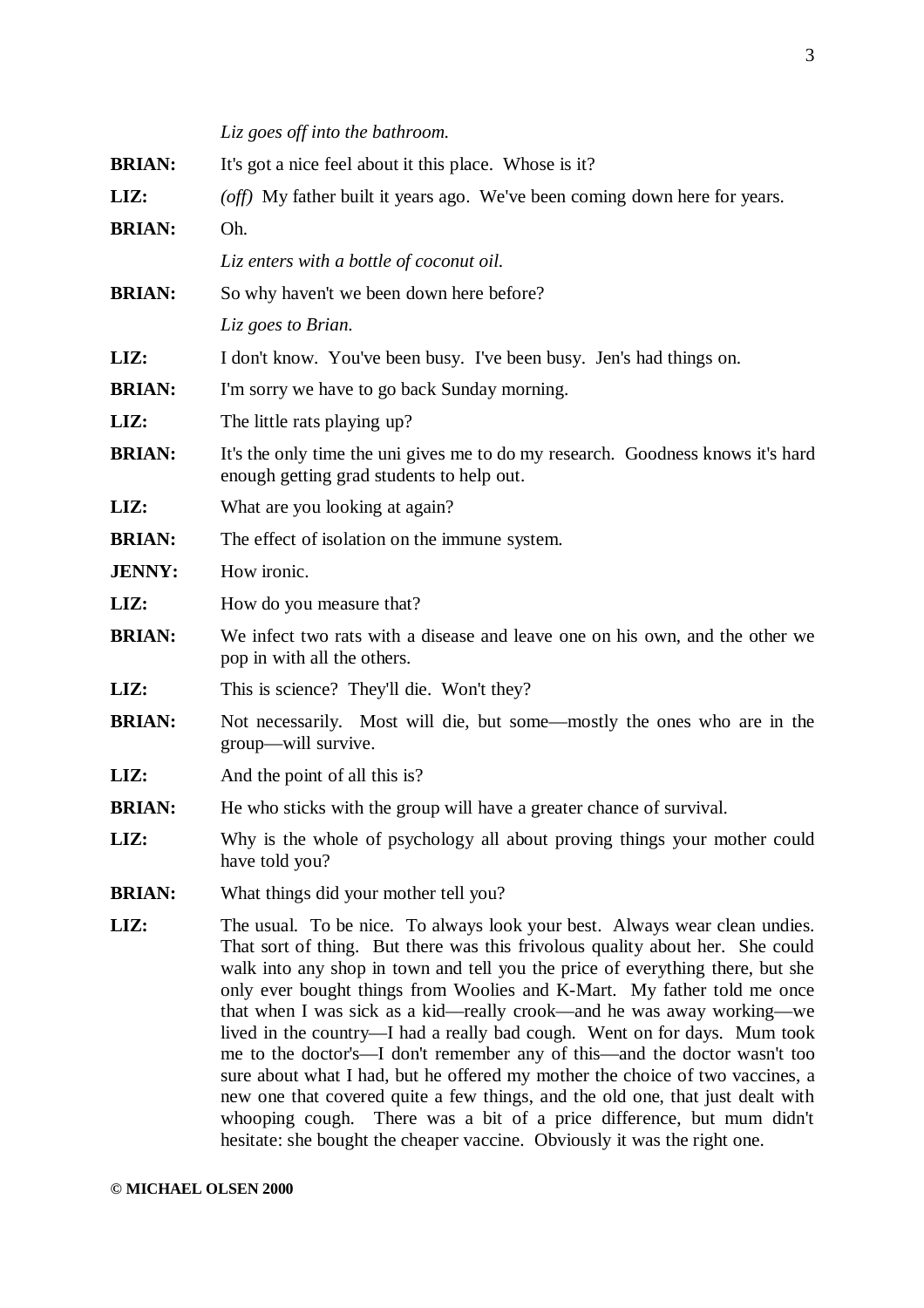|               | Liz goes off into the bathroom.                                                                                                                                                                                                                                                                                                                                                                                                                                                                                                                                                                                                                                                                                                |
|---------------|--------------------------------------------------------------------------------------------------------------------------------------------------------------------------------------------------------------------------------------------------------------------------------------------------------------------------------------------------------------------------------------------------------------------------------------------------------------------------------------------------------------------------------------------------------------------------------------------------------------------------------------------------------------------------------------------------------------------------------|
| <b>BRIAN:</b> | It's got a nice feel about it this place. Whose is it?                                                                                                                                                                                                                                                                                                                                                                                                                                                                                                                                                                                                                                                                         |
| LIZ:          | ( <i>off</i> ) My father built it years ago. We've been coming down here for years.                                                                                                                                                                                                                                                                                                                                                                                                                                                                                                                                                                                                                                            |
| <b>BRIAN:</b> | Oh.                                                                                                                                                                                                                                                                                                                                                                                                                                                                                                                                                                                                                                                                                                                            |
|               | Liz enters with a bottle of coconut oil.                                                                                                                                                                                                                                                                                                                                                                                                                                                                                                                                                                                                                                                                                       |
| <b>BRIAN:</b> | So why haven't we been down here before?                                                                                                                                                                                                                                                                                                                                                                                                                                                                                                                                                                                                                                                                                       |
|               | Liz goes to Brian.                                                                                                                                                                                                                                                                                                                                                                                                                                                                                                                                                                                                                                                                                                             |
| LIZ:          | I don't know. You've been busy. I've been busy. Jen's had things on.                                                                                                                                                                                                                                                                                                                                                                                                                                                                                                                                                                                                                                                           |
| <b>BRIAN:</b> | I'm sorry we have to go back Sunday morning.                                                                                                                                                                                                                                                                                                                                                                                                                                                                                                                                                                                                                                                                                   |
| LIZ:          | The little rats playing up?                                                                                                                                                                                                                                                                                                                                                                                                                                                                                                                                                                                                                                                                                                    |
| <b>BRIAN:</b> | It's the only time the uni gives me to do my research. Goodness knows it's hard<br>enough getting grad students to help out.                                                                                                                                                                                                                                                                                                                                                                                                                                                                                                                                                                                                   |
| LIZ:          | What are you looking at again?                                                                                                                                                                                                                                                                                                                                                                                                                                                                                                                                                                                                                                                                                                 |
| <b>BRIAN:</b> | The effect of isolation on the immune system.                                                                                                                                                                                                                                                                                                                                                                                                                                                                                                                                                                                                                                                                                  |
| <b>JENNY:</b> | How ironic.                                                                                                                                                                                                                                                                                                                                                                                                                                                                                                                                                                                                                                                                                                                    |
| LIZ:          | How do you measure that?                                                                                                                                                                                                                                                                                                                                                                                                                                                                                                                                                                                                                                                                                                       |
| <b>BRIAN:</b> | We infect two rats with a disease and leave one on his own, and the other we<br>pop in with all the others.                                                                                                                                                                                                                                                                                                                                                                                                                                                                                                                                                                                                                    |
| LIZ:          | This is science? They'll die. Won't they?                                                                                                                                                                                                                                                                                                                                                                                                                                                                                                                                                                                                                                                                                      |
| <b>BRIAN:</b> | Not necessarily. Most will die, but some—mostly the ones who are in the<br>group—will survive.                                                                                                                                                                                                                                                                                                                                                                                                                                                                                                                                                                                                                                 |
| LIZ:          | And the point of all this is?                                                                                                                                                                                                                                                                                                                                                                                                                                                                                                                                                                                                                                                                                                  |
| <b>BRIAN:</b> | He who sticks with the group will have a greater chance of survival.                                                                                                                                                                                                                                                                                                                                                                                                                                                                                                                                                                                                                                                           |
| LIZ:          | Why is the whole of psychology all about proving things your mother could<br>have told you?                                                                                                                                                                                                                                                                                                                                                                                                                                                                                                                                                                                                                                    |
| <b>BRIAN:</b> | What things did your mother tell you?                                                                                                                                                                                                                                                                                                                                                                                                                                                                                                                                                                                                                                                                                          |
| LIZ:          | The usual. To be nice. To always look your best. Always wear clean undies.<br>That sort of thing. But there was this frivolous quality about her. She could<br>walk into any shop in town and tell you the price of everything there, but she<br>only ever bought things from Woolies and K-Mart. My father told me once<br>that when I was sick as a kid—really crook—and he was away working—we<br>lived in the country—I had a really bad cough. Went on for days. Mum took<br>me to the doctor's—I don't remember any of this—and the doctor wasn't too<br>sure about what I had, but he offered my mother the choice of two vaccines, a<br>new one that covered quite a few things, and the old one, that just dealt with |

whooping cough. There was a bit of a price difference, but mum didn't

hesitate: she bought the cheaper vaccine. Obviously it was the right one.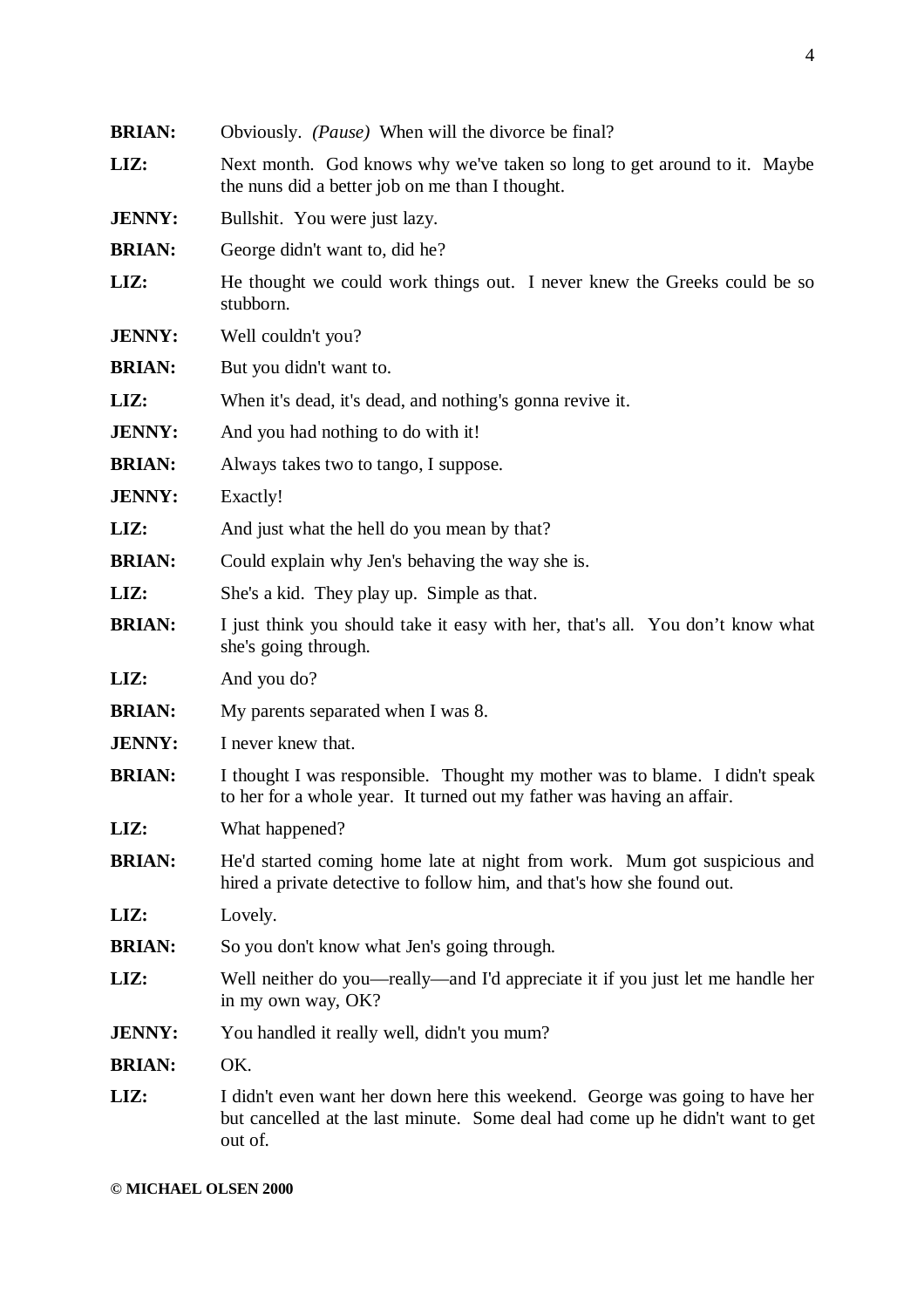| <b>BRIAN:</b> | Obviously. ( <i>Pause</i> ) When will the divorce be final?                                                                                                             |
|---------------|-------------------------------------------------------------------------------------------------------------------------------------------------------------------------|
| LIZ:          | Next month. God knows why we've taken so long to get around to it. Maybe<br>the nuns did a better job on me than I thought.                                             |
| <b>JENNY:</b> | Bullshit. You were just lazy.                                                                                                                                           |
| <b>BRIAN:</b> | George didn't want to, did he?                                                                                                                                          |
| LIZ:          | He thought we could work things out. I never knew the Greeks could be so<br>stubborn.                                                                                   |
| <b>JENNY:</b> | Well couldn't you?                                                                                                                                                      |
| <b>BRIAN:</b> | But you didn't want to.                                                                                                                                                 |
| LIZ:          | When it's dead, it's dead, and nothing's gonna revive it.                                                                                                               |
| <b>JENNY:</b> | And you had nothing to do with it!                                                                                                                                      |
| <b>BRIAN:</b> | Always takes two to tango, I suppose.                                                                                                                                   |
| <b>JENNY:</b> | Exactly!                                                                                                                                                                |
| LIZ:          | And just what the hell do you mean by that?                                                                                                                             |
| <b>BRIAN:</b> | Could explain why Jen's behaving the way she is.                                                                                                                        |
| LIZ:          | She's a kid. They play up. Simple as that.                                                                                                                              |
| <b>BRIAN:</b> | I just think you should take it easy with her, that's all. You don't know what<br>she's going through.                                                                  |
| LIZ:          | And you do?                                                                                                                                                             |
| <b>BRIAN:</b> | My parents separated when I was 8.                                                                                                                                      |
| <b>JENNY:</b> | I never knew that.                                                                                                                                                      |
| <b>BRIAN:</b> | I thought I was responsible. Thought my mother was to blame. I didn't speak<br>to her for a whole year. It turned out my father was having an affair.                   |
| LIZ:          | What happened?                                                                                                                                                          |
| <b>BRIAN:</b> | He'd started coming home late at night from work. Mum got suspicious and<br>hired a private detective to follow him, and that's how she found out.                      |
| LIZ:          | Lovely.                                                                                                                                                                 |
| <b>BRIAN:</b> | So you don't know what Jen's going through.                                                                                                                             |
| LIZ:          | Well neither do you—really—and I'd appreciate it if you just let me handle her<br>in my own way, OK?                                                                    |
| <b>JENNY:</b> | You handled it really well, didn't you mum?                                                                                                                             |
| <b>BRIAN:</b> | OK.                                                                                                                                                                     |
| LIZ:          | I didn't even want her down here this weekend. George was going to have her<br>but cancelled at the last minute. Some deal had come up he didn't want to get<br>out of. |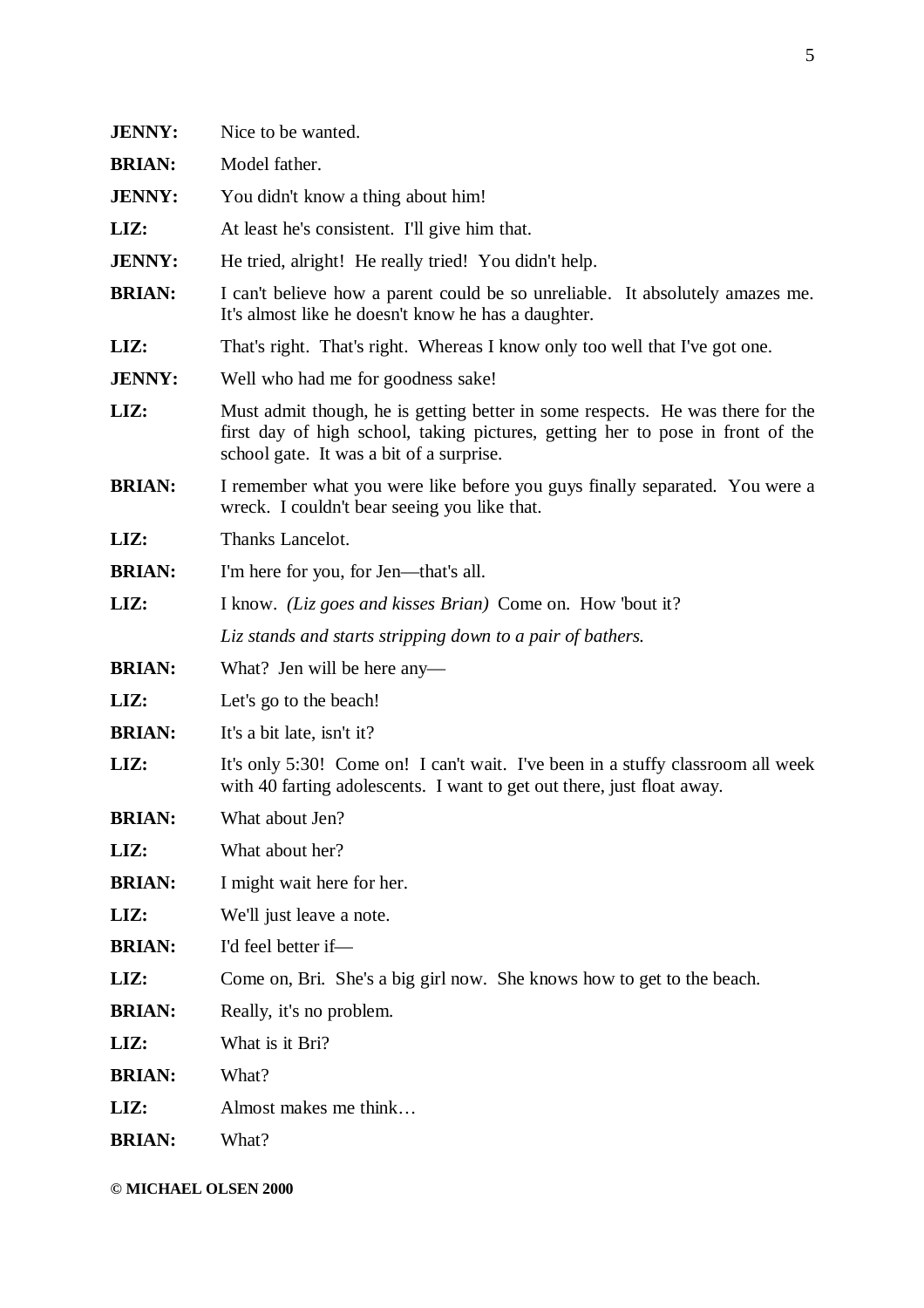| <b>JENNY:</b> | Nice to be wanted.                                                                                                                                                                                           |
|---------------|--------------------------------------------------------------------------------------------------------------------------------------------------------------------------------------------------------------|
| <b>BRIAN:</b> | Model father.                                                                                                                                                                                                |
| <b>JENNY:</b> | You didn't know a thing about him!                                                                                                                                                                           |
| LIZ:          | At least he's consistent. I'll give him that.                                                                                                                                                                |
| <b>JENNY:</b> | He tried, alright! He really tried! You didn't help.                                                                                                                                                         |
| <b>BRIAN:</b> | I can't believe how a parent could be so unreliable. It absolutely amazes me.<br>It's almost like he doesn't know he has a daughter.                                                                         |
| LIZ:          | That's right. That's right. Whereas I know only too well that I've got one.                                                                                                                                  |
| <b>JENNY:</b> | Well who had me for goodness sake!                                                                                                                                                                           |
| LIZ:          | Must admit though, he is getting better in some respects. He was there for the<br>first day of high school, taking pictures, getting her to pose in front of the<br>school gate. It was a bit of a surprise. |
| <b>BRIAN:</b> | I remember what you were like before you guys finally separated. You were a<br>wreck. I couldn't bear seeing you like that.                                                                                  |
| LIZ:          | Thanks Lancelot.                                                                                                                                                                                             |
| <b>BRIAN:</b> | I'm here for you, for Jen—that's all.                                                                                                                                                                        |
| LIZ:          | I know. (Liz goes and kisses Brian) Come on. How 'bout it?                                                                                                                                                   |
|               | Liz stands and starts stripping down to a pair of bathers.                                                                                                                                                   |
| <b>BRIAN:</b> | What? Jen will be here any—                                                                                                                                                                                  |
| LIZ:          | Let's go to the beach!                                                                                                                                                                                       |
| <b>BRIAN:</b> | It's a bit late, isn't it?                                                                                                                                                                                   |
| LIZ:          | It's only 5:30! Come on! I can't wait. I've been in a stuffy classroom all week<br>with 40 farting adolescents. I want to get out there, just float away.                                                    |
| <b>BRIAN:</b> | What about Jen?                                                                                                                                                                                              |
| LIZ:          | What about her?                                                                                                                                                                                              |
| <b>BRIAN:</b> | I might wait here for her.                                                                                                                                                                                   |
| LIZ:          | We'll just leave a note.                                                                                                                                                                                     |
| <b>BRIAN:</b> | I'd feel better if-                                                                                                                                                                                          |
| LIZ:          | Come on, Bri. She's a big girl now. She knows how to get to the beach.                                                                                                                                       |
| <b>BRIAN:</b> | Really, it's no problem.                                                                                                                                                                                     |
| LIZ:          | What is it Bri?                                                                                                                                                                                              |
| <b>BRIAN:</b> | What?                                                                                                                                                                                                        |
| LIZ:          | Almost makes me think                                                                                                                                                                                        |
| <b>BRIAN:</b> | What?                                                                                                                                                                                                        |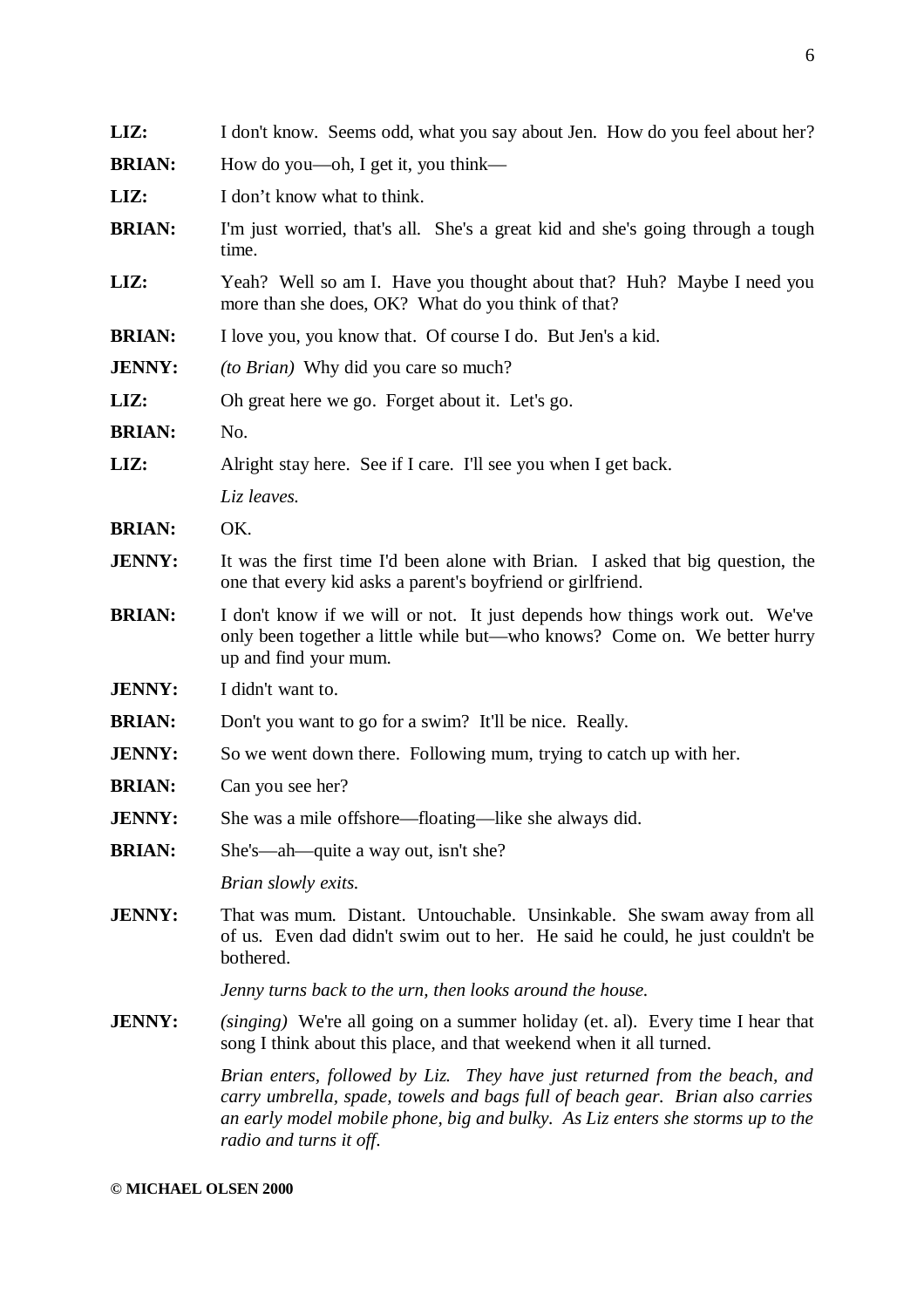| LIZ:          | I don't know. Seems odd, what you say about Jen. How do you feel about her?                                                  |
|---------------|------------------------------------------------------------------------------------------------------------------------------|
| <b>BRIAN:</b> | How do you—oh, I get it, you think—                                                                                          |
| LIZ:          | I don't know what to think.                                                                                                  |
| <b>BRIAN:</b> | I'm just worried, that's all. She's a great kid and she's going through a tough<br>time.                                     |
| LIZ:          | Yeah? Well so am I. Have you thought about that? Huh? Maybe I need you<br>more than she does, OK? What do you think of that? |
| <b>BRIAN:</b> | I love you, you know that. Of course I do. But Jen's a kid.                                                                  |
| <b>JENNY:</b> | <i>(to Brian)</i> Why did you care so much?                                                                                  |
| I 17.         | Ob graat here we go. Forget about it Let's go                                                                                |

LIZ: Oh great here we go. Forget about it. Let's go.

- **BRIAN:** No.
- **LIZ:** Alright stay here. See if I care. I'll see you when I get back.
	- *Liz leaves.*
- **BRIAN:** OK.
- **JENNY:** It was the first time I'd been alone with Brian. I asked that big question, the one that every kid asks a parent's boyfriend or girlfriend.
- **BRIAN:** I don't know if we will or not. It just depends how things work out. We've only been together a little while but—who knows? Come on. We better hurry up and find your mum.
- **JENNY:** I didn't want to.
- **BRIAN:** Don't you want to go for a swim? It'll be nice. Really.
- **JENNY:** So we went down there. Following mum, trying to catch up with her.
- **BRIAN:** Can you see her?
- **JENNY:** She was a mile offshore—floating—like she always did.
- **BRIAN:** She's—ah—quite a way out, isn't she?

*Brian slowly exits.*

**JENNY:** That was mum. Distant. Untouchable. Unsinkable. She swam away from all of us. Even dad didn't swim out to her. He said he could, he just couldn't be bothered.

*Jenny turns back to the urn, then looks around the house.*

**JENNY:** *(singing)* We're all going on a summer holiday (et. al). Every time I hear that song I think about this place, and that weekend when it all turned.

> *Brian enters, followed by Liz. They have just returned from the beach, and carry umbrella, spade, towels and bags full of beach gear. Brian also carries an early model mobile phone, big and bulky. As Liz enters she storms up to the radio and turns it off.*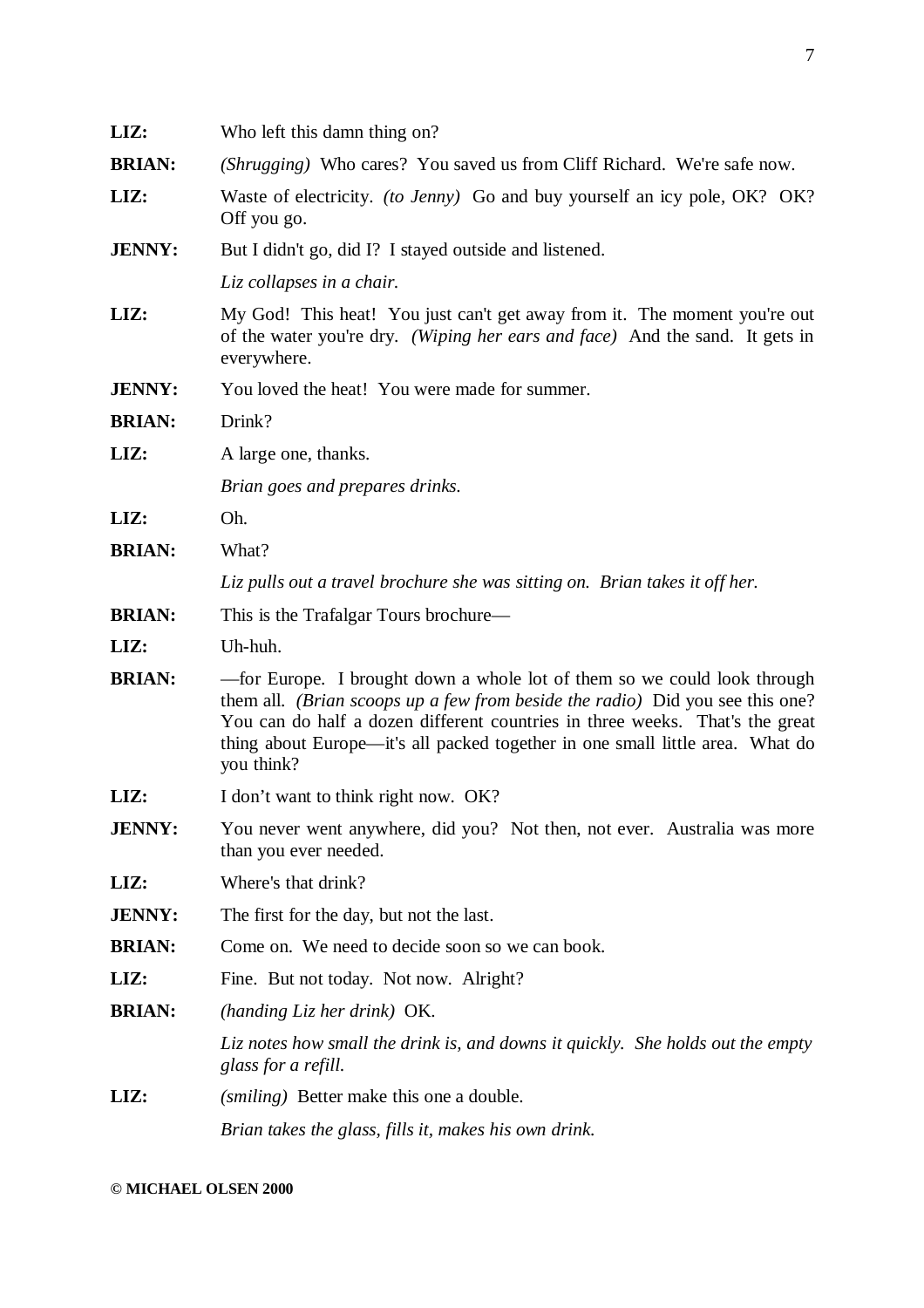| LIZ:          | Who left this damn thing on?                                                                                                                                                                                                                                                                                                             |
|---------------|------------------------------------------------------------------------------------------------------------------------------------------------------------------------------------------------------------------------------------------------------------------------------------------------------------------------------------------|
| <b>BRIAN:</b> | (Shrugging) Who cares? You saved us from Cliff Richard. We're safe now.                                                                                                                                                                                                                                                                  |
| LIZ:          | Waste of electricity. <i>(to Jenny)</i> Go and buy yourself an icy pole, OK? OK?<br>Off you go.                                                                                                                                                                                                                                          |
| <b>JENNY:</b> | But I didn't go, did I? I stayed outside and listened.                                                                                                                                                                                                                                                                                   |
|               | Liz collapses in a chair.                                                                                                                                                                                                                                                                                                                |
| LIZ:          | My God! This heat! You just can't get away from it. The moment you're out<br>of the water you're dry. (Wiping her ears and face) And the sand. It gets in<br>everywhere.                                                                                                                                                                 |
| <b>JENNY:</b> | You loved the heat! You were made for summer.                                                                                                                                                                                                                                                                                            |
| <b>BRIAN:</b> | Drink?                                                                                                                                                                                                                                                                                                                                   |
| LIZ:          | A large one, thanks.                                                                                                                                                                                                                                                                                                                     |
|               | Brian goes and prepares drinks.                                                                                                                                                                                                                                                                                                          |
| LIZ:          | Oh.                                                                                                                                                                                                                                                                                                                                      |
| <b>BRIAN:</b> | What?                                                                                                                                                                                                                                                                                                                                    |
|               | Liz pulls out a travel brochure she was sitting on. Brian takes it off her.                                                                                                                                                                                                                                                              |
| <b>BRIAN:</b> | This is the Trafalgar Tours brochure—                                                                                                                                                                                                                                                                                                    |
| LIZ:          | Uh-huh.                                                                                                                                                                                                                                                                                                                                  |
| <b>BRIAN:</b> | —for Europe. I brought down a whole lot of them so we could look through<br>them all. (Brian scoops up a few from beside the radio) Did you see this one?<br>You can do half a dozen different countries in three weeks. That's the great<br>thing about Europe—it's all packed together in one small little area. What do<br>you think? |
| LIZ:          | I don't want to think right now. OK?                                                                                                                                                                                                                                                                                                     |
| <b>JENNY:</b> | You never went anywhere, did you? Not then, not ever. Australia was more<br>than you ever needed.                                                                                                                                                                                                                                        |
| LIZ:          | Where's that drink?                                                                                                                                                                                                                                                                                                                      |
| <b>JENNY:</b> | The first for the day, but not the last.                                                                                                                                                                                                                                                                                                 |
| <b>BRIAN:</b> | Come on. We need to decide soon so we can book.                                                                                                                                                                                                                                                                                          |
| LIZ:          | Fine. But not today. Not now. Alright?                                                                                                                                                                                                                                                                                                   |
| <b>BRIAN:</b> | (handing Liz her drink) OK.                                                                                                                                                                                                                                                                                                              |
|               | Liz notes how small the drink is, and downs it quickly. She holds out the empty<br>glass for a refill.                                                                                                                                                                                                                                   |
| LIZ:          | ( <i>smiling</i> ) Better make this one a double.                                                                                                                                                                                                                                                                                        |
|               | Brian takes the glass, fills it, makes his own drink.                                                                                                                                                                                                                                                                                    |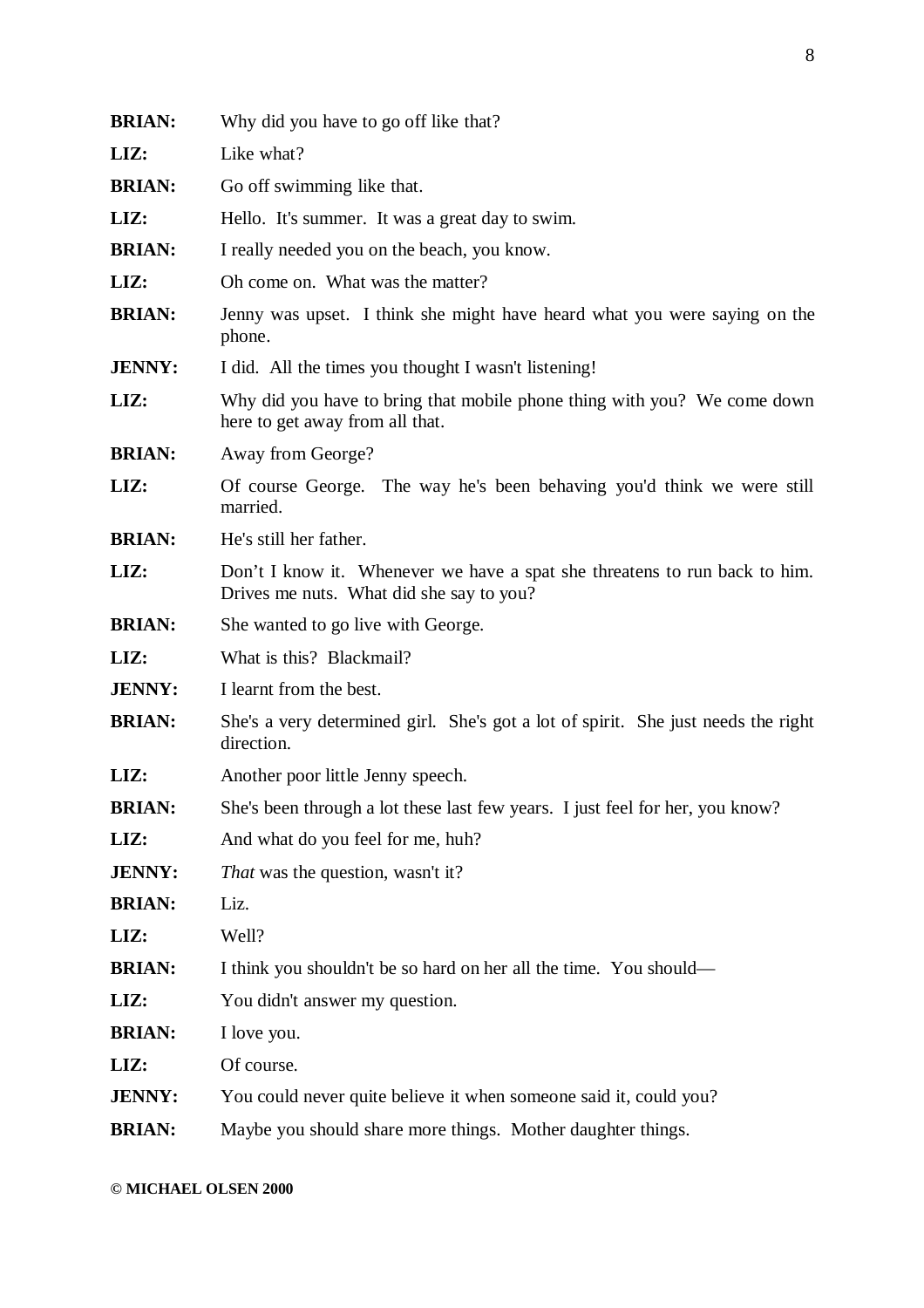| <b>BRIAN:</b> | Why did you have to go off like that?                                                                                  |
|---------------|------------------------------------------------------------------------------------------------------------------------|
| LIZ:          | Like what?                                                                                                             |
| <b>BRIAN:</b> | Go off swimming like that.                                                                                             |
| LIZ:          | Hello. It's summer. It was a great day to swim.                                                                        |
| <b>BRIAN:</b> | I really needed you on the beach, you know.                                                                            |
| LIZ:          | Oh come on. What was the matter?                                                                                       |
| <b>BRIAN:</b> | Jenny was upset. I think she might have heard what you were saying on the<br>phone.                                    |
| <b>JENNY:</b> | I did. All the times you thought I wasn't listening!                                                                   |
| LIZ:          | Why did you have to bring that mobile phone thing with you? We come down<br>here to get away from all that.            |
| <b>BRIAN:</b> | Away from George?                                                                                                      |
| LIZ:          | Of course George. The way he's been behaving you'd think we were still<br>married.                                     |
| <b>BRIAN:</b> | He's still her father.                                                                                                 |
| LIZ:          | Don't I know it. Whenever we have a spat she threatens to run back to him.<br>Drives me nuts. What did she say to you? |
| <b>BRIAN:</b> | She wanted to go live with George.                                                                                     |
| LIZ:          | What is this? Blackmail?                                                                                               |
| <b>JENNY:</b> | I learnt from the best.                                                                                                |
| <b>BRIAN:</b> | She's a very determined girl. She's got a lot of spirit. She just needs the right<br>direction.                        |
| LIZ:          | Another poor little Jenny speech.                                                                                      |
| <b>BRIAN:</b> | She's been through a lot these last few years. I just feel for her, you know?                                          |
| LIZ:          | And what do you feel for me, huh?                                                                                      |
| <b>JENNY:</b> | <i>That</i> was the question, wasn't it?                                                                               |
| <b>BRIAN:</b> | Liz.                                                                                                                   |
| LIZ:          | Well?                                                                                                                  |
| <b>BRIAN:</b> | I think you shouldn't be so hard on her all the time. You should—                                                      |
| LIZ:          | You didn't answer my question.                                                                                         |
| <b>BRIAN:</b> | I love you.                                                                                                            |
| LIZ:          | Of course.                                                                                                             |
| <b>JENNY:</b> | You could never quite believe it when someone said it, could you?                                                      |
| <b>BRIAN:</b> | Maybe you should share more things. Mother daughter things.                                                            |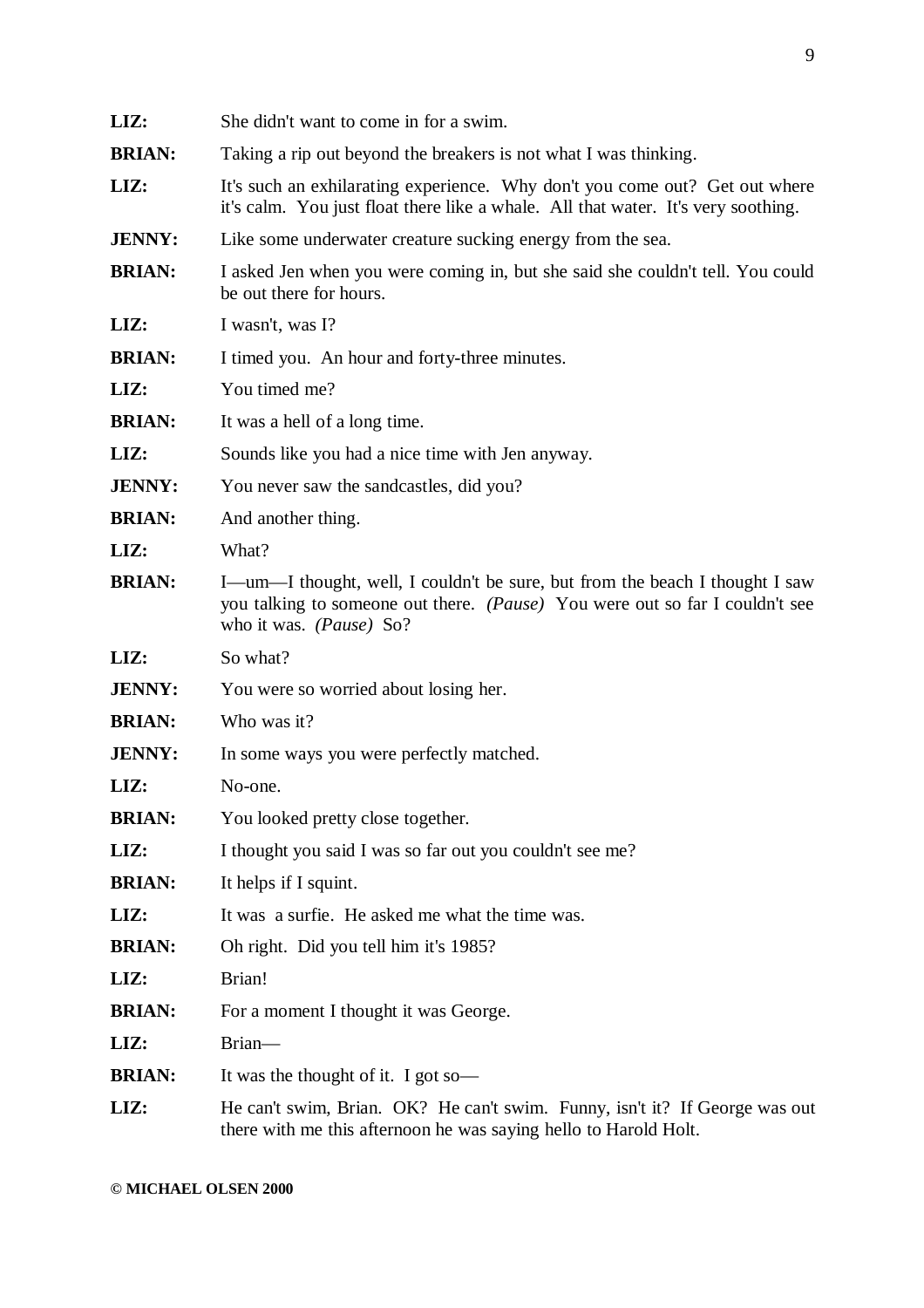| LIZ:          | She didn't want to come in for a swim.                                                                                                                                                                  |
|---------------|---------------------------------------------------------------------------------------------------------------------------------------------------------------------------------------------------------|
| <b>BRIAN:</b> | Taking a rip out beyond the breakers is not what I was thinking.                                                                                                                                        |
| LIZ:          | It's such an exhilarating experience. Why don't you come out? Get out where<br>it's calm. You just float there like a whale. All that water. It's very soothing.                                        |
| <b>JENNY:</b> | Like some underwater creature sucking energy from the sea.                                                                                                                                              |
| <b>BRIAN:</b> | I asked Jen when you were coming in, but she said she couldn't tell. You could<br>be out there for hours.                                                                                               |
| LIZ:          | I wasn't, was I?                                                                                                                                                                                        |
| <b>BRIAN:</b> | I timed you. An hour and forty-three minutes.                                                                                                                                                           |
| LIZ:          | You timed me?                                                                                                                                                                                           |
| <b>BRIAN:</b> | It was a hell of a long time.                                                                                                                                                                           |
| LIZ:          | Sounds like you had a nice time with Jen anyway.                                                                                                                                                        |
| <b>JENNY:</b> | You never saw the sandcastles, did you?                                                                                                                                                                 |
| <b>BRIAN:</b> | And another thing.                                                                                                                                                                                      |
| LIZ:          | What?                                                                                                                                                                                                   |
| <b>BRIAN:</b> | I—um—I thought, well, I couldn't be sure, but from the beach I thought I saw<br>you talking to someone out there. ( <i>Pause</i> ) You were out so far I couldn't see<br>who it was. <i>(Pause)</i> So? |
| LIZ:          | So what?                                                                                                                                                                                                |
| <b>JENNY:</b> | You were so worried about losing her.                                                                                                                                                                   |
| <b>BRIAN:</b> | Who was it?                                                                                                                                                                                             |
| <b>JENNY:</b> | In some ways you were perfectly matched.                                                                                                                                                                |
| LIZ:          | No-one.                                                                                                                                                                                                 |
| <b>BRIAN:</b> | You looked pretty close together.                                                                                                                                                                       |
| LIZ:          | I thought you said I was so far out you couldn't see me?                                                                                                                                                |
| <b>BRIAN:</b> | It helps if I squint.                                                                                                                                                                                   |
| LIZ:          | It was a surfie. He asked me what the time was.                                                                                                                                                         |
| <b>BRIAN:</b> | Oh right. Did you tell him it's 1985?                                                                                                                                                                   |
| LIZ:          | Brian!                                                                                                                                                                                                  |
| <b>BRIAN:</b> | For a moment I thought it was George.                                                                                                                                                                   |
| LIZ:          | Brian-                                                                                                                                                                                                  |
| <b>BRIAN:</b> | It was the thought of it. I got so—                                                                                                                                                                     |
| LIZ:          | He can't swim, Brian. OK? He can't swim. Funny, isn't it? If George was out<br>there with me this afternoon he was saying hello to Harold Holt.                                                         |